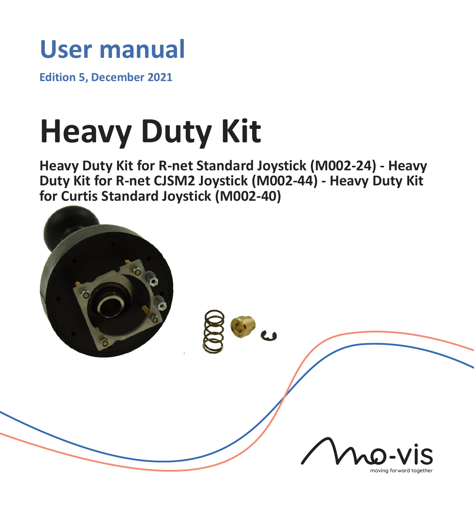# **User manual**

**Edition 5, December 2021**

# **Heavy Duty Kit**

**Heavy Duty Kit for R-net Standard Joystick (M002-24) - Heavy Duty Kit for R-net CJSM2 Joystick (M002-44) - Heavy Duty Kit for Curtis Standard Joystick (M002-40)**

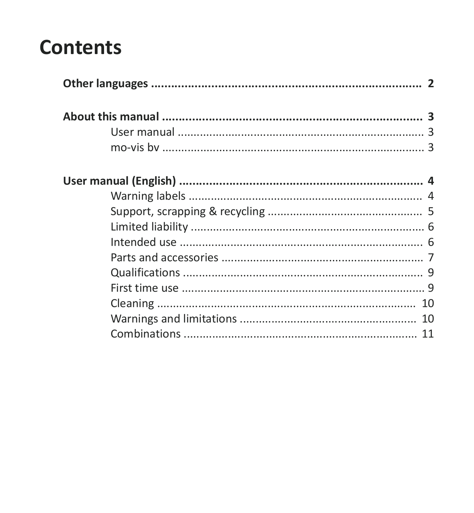# **Contents**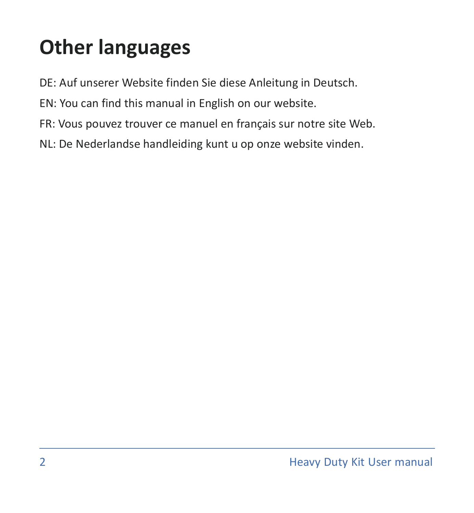# <span id="page-2-0"></span>**Other languages**

- DE: Auf unserer Website finden Sie diese Anleitung in Deutsch.
- EN: You can find this manual in English on our website.
- FR: Vous pouvez trouver ce manuel en français sur notre site Web.
- NL: De Nederlandse handleiding kunt u op onze website vinden.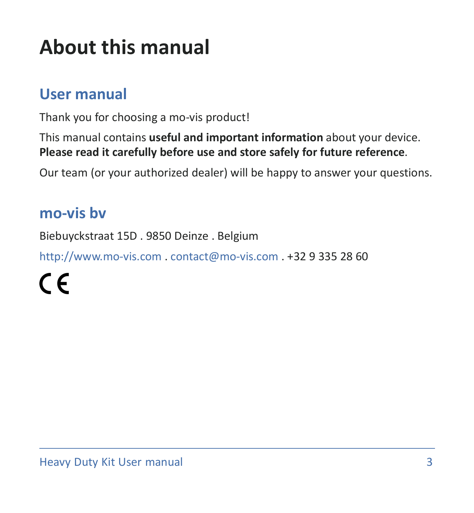# <span id="page-3-0"></span>**About this manual**

### <span id="page-3-1"></span>**User manual**

Thank you for choosing a mo-vis product!

This manual contains **useful and important information** about your device. **Please read it carefully before use and store safely for future reference**.

Our team (or your authorized dealer) will be happy to answer your questions.

### <span id="page-3-2"></span>**mo-vis bv**

Biebuyckstraat 15D . 9850 Deinze . Belgium

<http://www.mo-vis.com> . [contact@mo-vis.com](mailto:contact@mo-vis.com) . +32 9 335 28 60

 $\epsilon$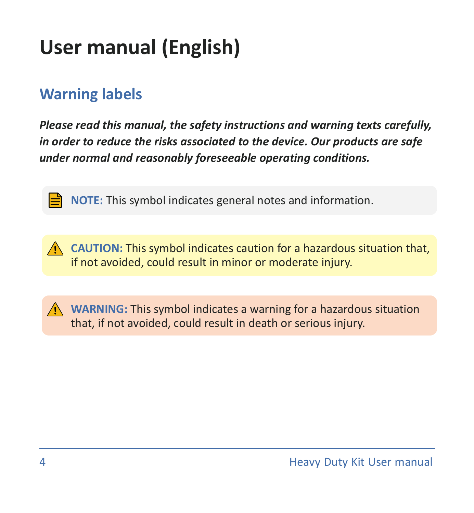# <span id="page-4-0"></span>**User manual (English)**

# <span id="page-4-1"></span>**Warning labels**

*Please read this manual, the safety instructions and warning texts carefully, in order to reduce the risks associated to the device. Our products are safe under normal and reasonably foreseeable operating conditions.*

**NOTE:** This symbol indicates general notes and information.

**CAUTION:** This symbol indicates caution for a hazardous situation that, if not avoided, could result in minor or moderate injury.

**WARNING:** This symbol indicates a warning for a hazardous situation that, if not avoided, could result in death or serious injury.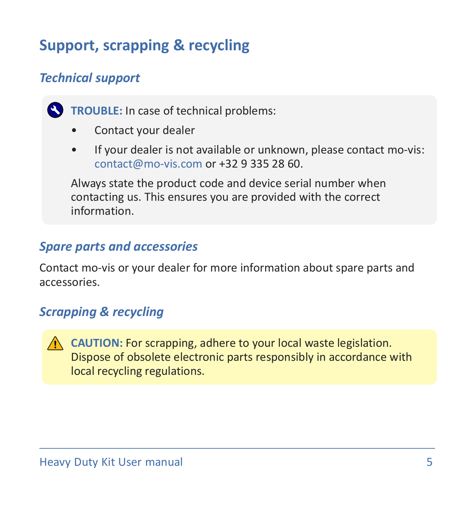# <span id="page-5-0"></span>**Support, scrapping & recycling**

#### *Technical support*

**TROUBLE:** In case of technical problems:

- Contact your dealer
- If your dealer is not available or unknown, please contact mo-vis: [contact@mo-vis.com](mailto:contact@mo-vis.com) or +32 9 335 28 60.

Always state the product code and device serial number when contacting us. This ensures you are provided with the correct information.

#### *Spare parts and accessories*

Contact mo-vis or your dealer for more information about spare parts and accessories.

#### *Scrapping & recycling*

**CAUTION:** For scrapping, adhere to your local waste legislation. Dispose of obsolete electronic parts responsibly in accordance with local recycling regulations.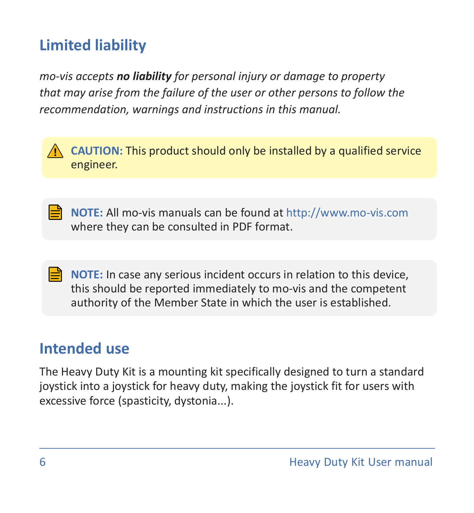# <span id="page-6-0"></span>**Limited liability**

*mo-vis accepts no liability for personal injury or damage to property that may arise from the failure of the user or other persons to follow the recommendation, warnings and instructions in this manual.*



**NOTE:** All mo-vis manuals can be found at <http://www.mo-vis.com> where they can be consulted in PDF format.

**NOTE:** In case any serious incident occurs in relation to this device, this should be reported immediately to mo-vis and the competent authority of the Member State in which the user is established.

# <span id="page-6-1"></span>**Intended use**

The Heavy Duty Kit is a mounting kit specifically designed to turn a standard joystick into a joystick for heavy duty, making the joystick fit for users with excessive force (spasticity, dystonia...).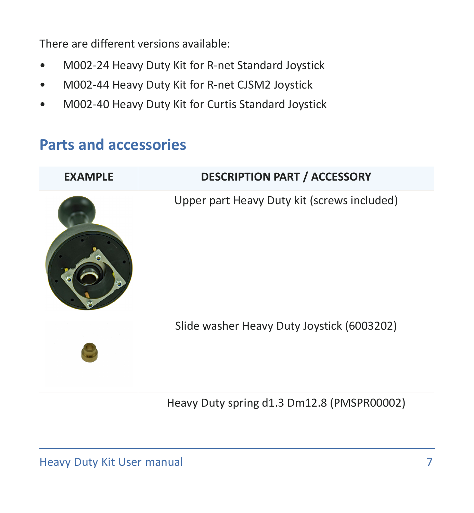There are different versions available:

- M002-24 Heavy Duty Kit for R-net Standard Joystick
- M002-44 Heavy Duty Kit for R-net CJSM2 Joystick
- M002-40 Heavy Duty Kit for Curtis Standard Joystick

### <span id="page-7-0"></span>**Parts and accessories**

| <b>EXAMPLE</b> | <b>DESCRIPTION PART / ACCESSORY</b>         |
|----------------|---------------------------------------------|
|                | Upper part Heavy Duty kit (screws included) |
|                | Slide washer Heavy Duty Joystick (6003202)  |
|                | Heavy Duty spring d1.3 Dm12.8 (PMSPR00002)  |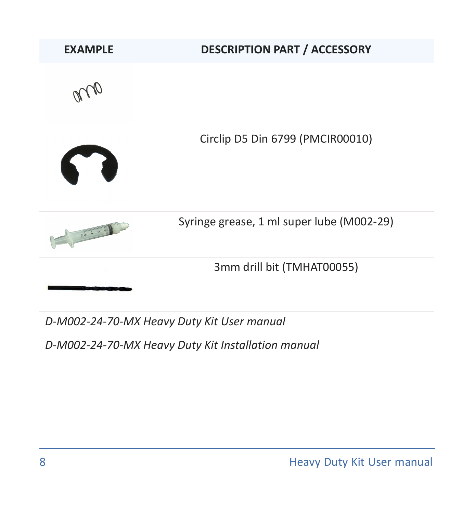| <b>EXAMPLE</b> | <b>DESCRIPTION PART / ACCESSORY</b>       |
|----------------|-------------------------------------------|
|                |                                           |
| 67             | Circlip D5 Din 6799 (PMCIR00010)          |
| E Gundenhausen | Syringe grease, 1 ml super lube (M002-29) |
|                | 3mm drill bit (TMHAT00055)                |

*D-M002-24-70-MX Heavy Duty Kit User manual*

*D-M002-24-70-MX Heavy Duty Kit Installation manual*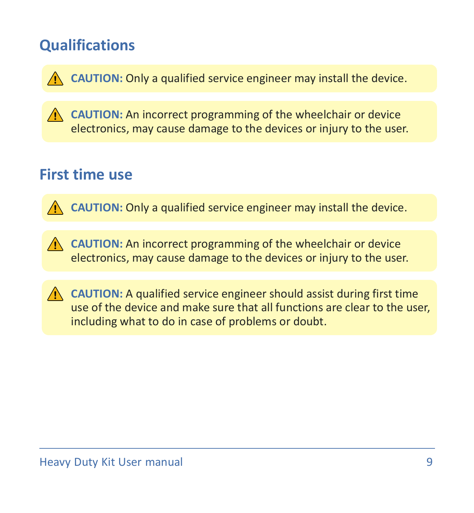# <span id="page-9-0"></span>**Qualifications**

**CAUTION:** Only a qualified service engineer may install the device.

**CAUTION:** An incorrect programming of the wheelchair or device electronics, may cause damage to the devices or injury to the user.

# <span id="page-9-1"></span>**First time use**

**CAUTION:** Only a qualified service engineer may install the device.

**CAUTION:** An incorrect programming of the wheelchair or device electronics, may cause damage to the devices or injury to the user.

**CAUTION:** A qualified service engineer should assist during first time use of the device and make sure that all functions are clear to the user, including what to do in case of problems or doubt.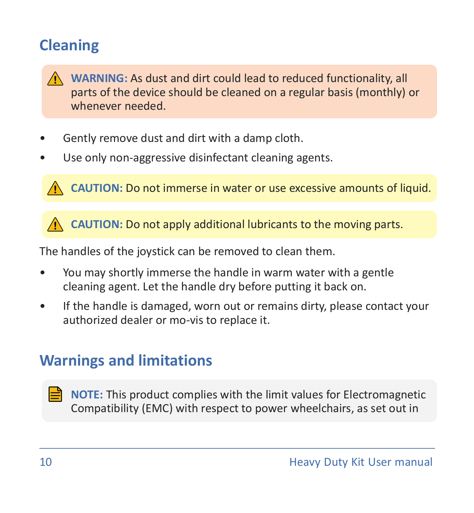# <span id="page-10-0"></span>**Cleaning**



**WARNING:** As dust and dirt could lead to reduced functionality, all parts of the device should be cleaned on a regular basis (monthly) or whenever needed.

- Gently remove dust and dirt with a damp cloth.
- Use only non-aggressive disinfectant cleaning agents.

**CAUTION:** Do not immerse in water or use excessive amounts of liquid.

**CAUTION:** Do not apply additional lubricants to the moving parts.

The handles of the joystick can be removed to clean them.

- You may shortly immerse the handle in warm water with a gentle cleaning agent. Let the handle dry before putting it back on.
- If the handle is damaged, worn out or remains dirty, please contact your authorized dealer or mo-vis to replace it.

# <span id="page-10-1"></span>**Warnings and limitations**

**NOTE:** This product complies with the limit values for Electromagnetic Compatibility (EMC) with respect to power wheelchairs, as set out in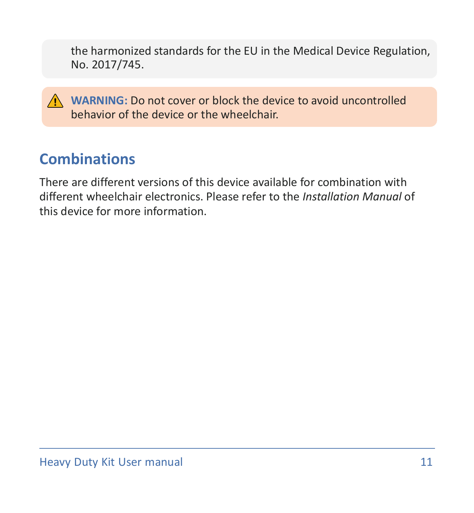the harmonized standards for the EU in the Medical Device Regulation, No. 2017/745.

**WARNING:** Do not cover or block the device to avoid uncontrolled behavior of the device or the wheelchair.

# <span id="page-11-0"></span>**Combinations**

There are different versions of this device available for combination with different wheelchair electronics. Please refer to the *Installation Manual* of this device for more information.